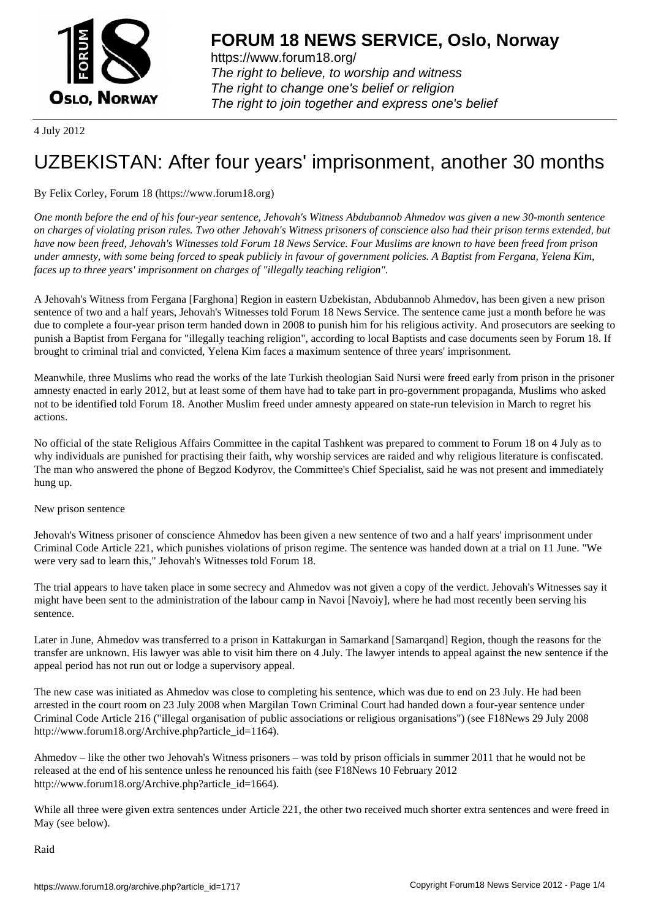

https://www.forum18.org/ The right to believe, to worship and witness The right to change one's belief or religion [The right to join together a](https://www.forum18.org/)nd express one's belief

4 July 2012

## [UZBEKISTAN:](https://www.forum18.org) After four years' imprisonment, another 30 months

## By Felix Corley, Forum 18 (https://www.forum18.org)

*One month before the end of his four-year sentence, Jehovah's Witness Abdubannob Ahmedov was given a new 30-month sentence on charges of violating prison rules. Two other Jehovah's Witness prisoners of conscience also had their prison terms extended, but have now been freed, Jehovah's Witnesses told Forum 18 News Service. Four Muslims are known to have been freed from prison under amnesty, with some being forced to speak publicly in favour of government policies. A Baptist from Fergana, Yelena Kim, faces up to three years' imprisonment on charges of "illegally teaching religion".*

A Jehovah's Witness from Fergana [Farghona] Region in eastern Uzbekistan, Abdubannob Ahmedov, has been given a new prison sentence of two and a half years, Jehovah's Witnesses told Forum 18 News Service. The sentence came just a month before he was due to complete a four-year prison term handed down in 2008 to punish him for his religious activity. And prosecutors are seeking to punish a Baptist from Fergana for "illegally teaching religion", according to local Baptists and case documents seen by Forum 18. If brought to criminal trial and convicted, Yelena Kim faces a maximum sentence of three years' imprisonment.

Meanwhile, three Muslims who read the works of the late Turkish theologian Said Nursi were freed early from prison in the prisoner amnesty enacted in early 2012, but at least some of them have had to take part in pro-government propaganda, Muslims who asked not to be identified told Forum 18. Another Muslim freed under amnesty appeared on state-run television in March to regret his actions.

No official of the state Religious Affairs Committee in the capital Tashkent was prepared to comment to Forum 18 on 4 July as to why individuals are punished for practising their faith, why worship services are raided and why religious literature is confiscated. The man who answered the phone of Begzod Kodyrov, the Committee's Chief Specialist, said he was not present and immediately hung up.

## New prison sentence

Jehovah's Witness prisoner of conscience Ahmedov has been given a new sentence of two and a half years' imprisonment under Criminal Code Article 221, which punishes violations of prison regime. The sentence was handed down at a trial on 11 June. "We were very sad to learn this," Jehovah's Witnesses told Forum 18.

The trial appears to have taken place in some secrecy and Ahmedov was not given a copy of the verdict. Jehovah's Witnesses say it might have been sent to the administration of the labour camp in Navoi [Navoiy], where he had most recently been serving his sentence.

Later in June, Ahmedov was transferred to a prison in Kattakurgan in Samarkand [Samarqand] Region, though the reasons for the transfer are unknown. His lawyer was able to visit him there on 4 July. The lawyer intends to appeal against the new sentence if the appeal period has not run out or lodge a supervisory appeal.

The new case was initiated as Ahmedov was close to completing his sentence, which was due to end on 23 July. He had been arrested in the court room on 23 July 2008 when Margilan Town Criminal Court had handed down a four-year sentence under Criminal Code Article 216 ("illegal organisation of public associations or religious organisations") (see F18News 29 July 2008 http://www.forum18.org/Archive.php?article\_id=1164).

Ahmedov – like the other two Jehovah's Witness prisoners – was told by prison officials in summer 2011 that he would not be released at the end of his sentence unless he renounced his faith (see F18News 10 February 2012 http://www.forum18.org/Archive.php?article\_id=1664).

While all three were given extra sentences under Article 221, the other two received much shorter extra sentences and were freed in May (see below).

Raid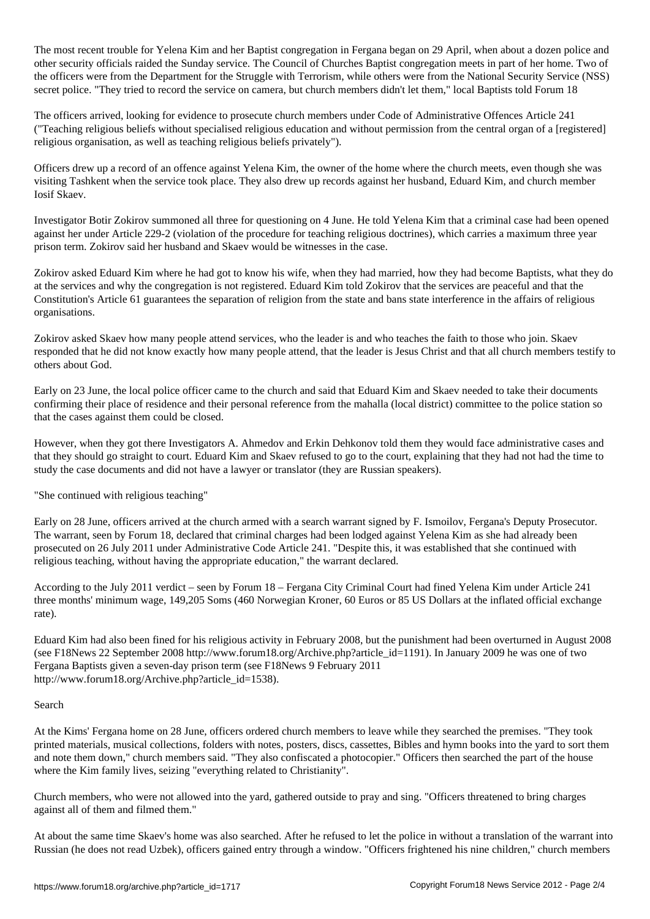The most recent trouble for Yelena Kim and her Baptist congregation in Fergana began on 29 April, when about a dozen police and other security officials raided the Sunday service. The Council of Churches Baptist congregation meets in part of her home. Two of the officers were from the Department for the Struggle with Terrorism, while others were from the National Security Service (NSS) secret police. "They tried to record the service on camera, but church members didn't let them," local Baptists told Forum 18

The officers arrived, looking for evidence to prosecute church members under Code of Administrative Offences Article 241 ("Teaching religious beliefs without specialised religious education and without permission from the central organ of a [registered] religious organisation, as well as teaching religious beliefs privately").

Officers drew up a record of an offence against Yelena Kim, the owner of the home where the church meets, even though she was visiting Tashkent when the service took place. They also drew up records against her husband, Eduard Kim, and church member Iosif Skaev.

Investigator Botir Zokirov summoned all three for questioning on 4 June. He told Yelena Kim that a criminal case had been opened against her under Article 229-2 (violation of the procedure for teaching religious doctrines), which carries a maximum three year prison term. Zokirov said her husband and Skaev would be witnesses in the case.

Zokirov asked Eduard Kim where he had got to know his wife, when they had married, how they had become Baptists, what they do at the services and why the congregation is not registered. Eduard Kim told Zokirov that the services are peaceful and that the Constitution's Article 61 guarantees the separation of religion from the state and bans state interference in the affairs of religious organisations.

Zokirov asked Skaev how many people attend services, who the leader is and who teaches the faith to those who join. Skaev responded that he did not know exactly how many people attend, that the leader is Jesus Christ and that all church members testify to others about God.

Early on 23 June, the local police officer came to the church and said that Eduard Kim and Skaev needed to take their documents confirming their place of residence and their personal reference from the mahalla (local district) committee to the police station so that the cases against them could be closed.

However, when they got there Investigators A. Ahmedov and Erkin Dehkonov told them they would face administrative cases and that they should go straight to court. Eduard Kim and Skaev refused to go to the court, explaining that they had not had the time to study the case documents and did not have a lawyer or translator (they are Russian speakers).

"She continued with religious teaching"

Early on 28 June, officers arrived at the church armed with a search warrant signed by F. Ismoilov, Fergana's Deputy Prosecutor. The warrant, seen by Forum 18, declared that criminal charges had been lodged against Yelena Kim as she had already been prosecuted on 26 July 2011 under Administrative Code Article 241. "Despite this, it was established that she continued with religious teaching, without having the appropriate education," the warrant declared.

According to the July 2011 verdict – seen by Forum 18 – Fergana City Criminal Court had fined Yelena Kim under Article 241 three months' minimum wage, 149,205 Soms (460 Norwegian Kroner, 60 Euros or 85 US Dollars at the inflated official exchange rate).

Eduard Kim had also been fined for his religious activity in February 2008, but the punishment had been overturned in August 2008 (see F18News 22 September 2008 http://www.forum18.org/Archive.php?article\_id=1191). In January 2009 he was one of two Fergana Baptists given a seven-day prison term (see F18News 9 February 2011 http://www.forum18.org/Archive.php?article\_id=1538).

## Search

At the Kims' Fergana home on 28 June, officers ordered church members to leave while they searched the premises. "They took printed materials, musical collections, folders with notes, posters, discs, cassettes, Bibles and hymn books into the yard to sort them and note them down," church members said. "They also confiscated a photocopier." Officers then searched the part of the house where the Kim family lives, seizing "everything related to Christianity".

Church members, who were not allowed into the yard, gathered outside to pray and sing. "Officers threatened to bring charges against all of them and filmed them."

At about the same time Skaev's home was also searched. After he refused to let the police in without a translation of the warrant into Russian (he does not read Uzbek), officers gained entry through a window. "Officers frightened his nine children," church members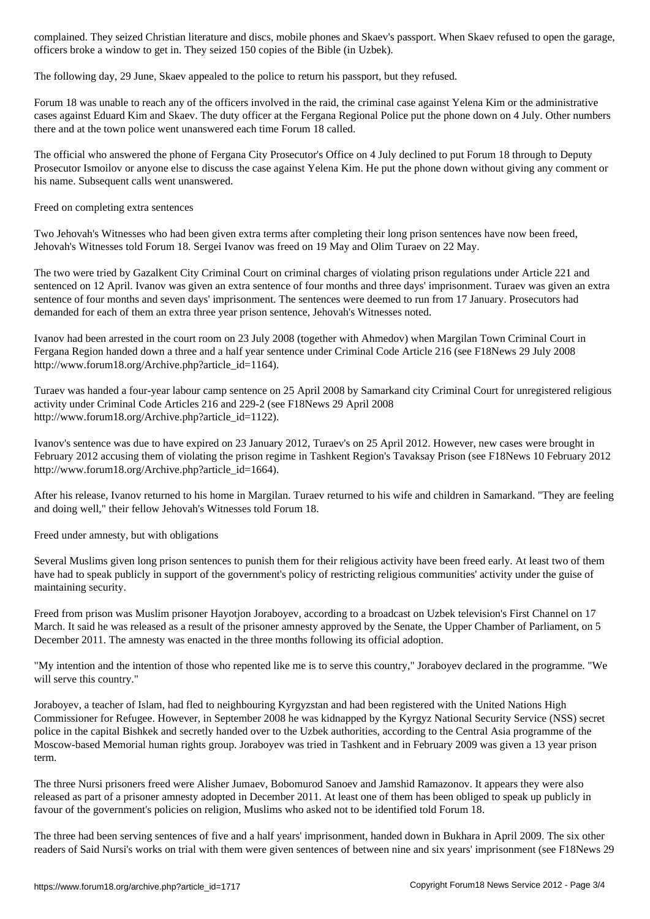officers broke a window to get in. They seized 150 copies of the Bible (in Uzbek).

The following day, 29 June, Skaev appealed to the police to return his passport, but they refused.

Forum 18 was unable to reach any of the officers involved in the raid, the criminal case against Yelena Kim or the administrative cases against Eduard Kim and Skaev. The duty officer at the Fergana Regional Police put the phone down on 4 July. Other numbers there and at the town police went unanswered each time Forum 18 called.

The official who answered the phone of Fergana City Prosecutor's Office on 4 July declined to put Forum 18 through to Deputy Prosecutor Ismoilov or anyone else to discuss the case against Yelena Kim. He put the phone down without giving any comment or his name. Subsequent calls went unanswered.

Freed on completing extra sentences

Two Jehovah's Witnesses who had been given extra terms after completing their long prison sentences have now been freed, Jehovah's Witnesses told Forum 18. Sergei Ivanov was freed on 19 May and Olim Turaev on 22 May.

The two were tried by Gazalkent City Criminal Court on criminal charges of violating prison regulations under Article 221 and sentenced on 12 April. Ivanov was given an extra sentence of four months and three days' imprisonment. Turaev was given an extra sentence of four months and seven days' imprisonment. The sentences were deemed to run from 17 January. Prosecutors had demanded for each of them an extra three year prison sentence, Jehovah's Witnesses noted.

Ivanov had been arrested in the court room on 23 July 2008 (together with Ahmedov) when Margilan Town Criminal Court in Fergana Region handed down a three and a half year sentence under Criminal Code Article 216 (see F18News 29 July 2008 http://www.forum18.org/Archive.php?article\_id=1164).

Turaev was handed a four-year labour camp sentence on 25 April 2008 by Samarkand city Criminal Court for unregistered religious activity under Criminal Code Articles 216 and 229-2 (see F18News 29 April 2008 http://www.forum18.org/Archive.php?article\_id=1122).

Ivanov's sentence was due to have expired on 23 January 2012, Turaev's on 25 April 2012. However, new cases were brought in February 2012 accusing them of violating the prison regime in Tashkent Region's Tavaksay Prison (see F18News 10 February 2012 http://www.forum18.org/Archive.php?article\_id=1664).

After his release, Ivanov returned to his home in Margilan. Turaev returned to his wife and children in Samarkand. "They are feeling and doing well," their fellow Jehovah's Witnesses told Forum 18.

Freed under amnesty, but with obligations

Several Muslims given long prison sentences to punish them for their religious activity have been freed early. At least two of them have had to speak publicly in support of the government's policy of restricting religious communities' activity under the guise of maintaining security.

Freed from prison was Muslim prisoner Hayotjon Joraboyev, according to a broadcast on Uzbek television's First Channel on 17 March. It said he was released as a result of the prisoner amnesty approved by the Senate, the Upper Chamber of Parliament, on 5 December 2011. The amnesty was enacted in the three months following its official adoption.

"My intention and the intention of those who repented like me is to serve this country," Joraboyev declared in the programme. "We will serve this country."

Joraboyev, a teacher of Islam, had fled to neighbouring Kyrgyzstan and had been registered with the United Nations High Commissioner for Refugee. However, in September 2008 he was kidnapped by the Kyrgyz National Security Service (NSS) secret police in the capital Bishkek and secretly handed over to the Uzbek authorities, according to the Central Asia programme of the Moscow-based Memorial human rights group. Joraboyev was tried in Tashkent and in February 2009 was given a 13 year prison term.

The three Nursi prisoners freed were Alisher Jumaev, Bobomurod Sanoev and Jamshid Ramazonov. It appears they were also released as part of a prisoner amnesty adopted in December 2011. At least one of them has been obliged to speak up publicly in favour of the government's policies on religion, Muslims who asked not to be identified told Forum 18.

The three had been serving sentences of five and a half years' imprisonment, handed down in Bukhara in April 2009. The six other readers of Said Nursi's works on trial with them were given sentences of between nine and six years' imprisonment (see F18News 29